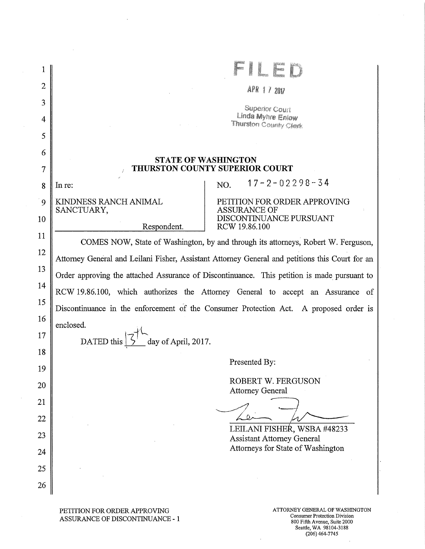| $\overline{2}$<br>APR 17 2017<br>3<br><b>Superior Court</b><br>Linda Myhre Enlow<br>4<br>Thurston County Clerk<br>5<br>6<br><b>STATE OF WASHINGTON</b><br><b>THURSTON COUNTY SUPERIOR COURT</b><br>7<br>$17 - 2 - 02298 - 34$<br>NO.<br>In re:<br>8<br>KINDNESS RANCH ANIMAL<br>PETITION FOR ORDER APPROVING<br>9<br>SANCTUARY,<br><b>ASSURANCE OF</b><br>DISCONTINUANCE PURSUANT<br>10<br>Respondent.<br>RCW 19.86.100<br>11<br>COMES NOW, State of Washington, by and through its attorneys, Robert W. Ferguson,<br>12<br>Attorney General and Leilani Fisher, Assistant Attorney General and petitions this Court for an<br>13<br>Order approving the attached Assurance of Discontinuance. This petition is made pursuant to<br>14<br>RCW 19.86.100, which authorizes the Attorney General to accept an Assurance of<br>15<br>Discontinuance in the enforcement of the Consumer Protection Act. A proposed order is<br>16<br>enclosed.<br>17<br>day of April, 2017.<br>DATED this<br>18<br>Presented By:<br>19<br>ROBERT W. FERGUSON<br>20<br><b>Attorney General</b><br>21<br>22<br>LEILANI FISHER, WSBA #48233<br>23<br><b>Assistant Attorney General</b><br>Attorneys for State of Washington<br>24<br>25<br>26 |  |  |  |  |
|------------------------------------------------------------------------------------------------------------------------------------------------------------------------------------------------------------------------------------------------------------------------------------------------------------------------------------------------------------------------------------------------------------------------------------------------------------------------------------------------------------------------------------------------------------------------------------------------------------------------------------------------------------------------------------------------------------------------------------------------------------------------------------------------------------------------------------------------------------------------------------------------------------------------------------------------------------------------------------------------------------------------------------------------------------------------------------------------------------------------------------------------------------------------------------------------------------------------|--|--|--|--|
|                                                                                                                                                                                                                                                                                                                                                                                                                                                                                                                                                                                                                                                                                                                                                                                                                                                                                                                                                                                                                                                                                                                                                                                                                        |  |  |  |  |
|                                                                                                                                                                                                                                                                                                                                                                                                                                                                                                                                                                                                                                                                                                                                                                                                                                                                                                                                                                                                                                                                                                                                                                                                                        |  |  |  |  |
|                                                                                                                                                                                                                                                                                                                                                                                                                                                                                                                                                                                                                                                                                                                                                                                                                                                                                                                                                                                                                                                                                                                                                                                                                        |  |  |  |  |
|                                                                                                                                                                                                                                                                                                                                                                                                                                                                                                                                                                                                                                                                                                                                                                                                                                                                                                                                                                                                                                                                                                                                                                                                                        |  |  |  |  |
|                                                                                                                                                                                                                                                                                                                                                                                                                                                                                                                                                                                                                                                                                                                                                                                                                                                                                                                                                                                                                                                                                                                                                                                                                        |  |  |  |  |
|                                                                                                                                                                                                                                                                                                                                                                                                                                                                                                                                                                                                                                                                                                                                                                                                                                                                                                                                                                                                                                                                                                                                                                                                                        |  |  |  |  |
|                                                                                                                                                                                                                                                                                                                                                                                                                                                                                                                                                                                                                                                                                                                                                                                                                                                                                                                                                                                                                                                                                                                                                                                                                        |  |  |  |  |
|                                                                                                                                                                                                                                                                                                                                                                                                                                                                                                                                                                                                                                                                                                                                                                                                                                                                                                                                                                                                                                                                                                                                                                                                                        |  |  |  |  |
|                                                                                                                                                                                                                                                                                                                                                                                                                                                                                                                                                                                                                                                                                                                                                                                                                                                                                                                                                                                                                                                                                                                                                                                                                        |  |  |  |  |
|                                                                                                                                                                                                                                                                                                                                                                                                                                                                                                                                                                                                                                                                                                                                                                                                                                                                                                                                                                                                                                                                                                                                                                                                                        |  |  |  |  |
|                                                                                                                                                                                                                                                                                                                                                                                                                                                                                                                                                                                                                                                                                                                                                                                                                                                                                                                                                                                                                                                                                                                                                                                                                        |  |  |  |  |
|                                                                                                                                                                                                                                                                                                                                                                                                                                                                                                                                                                                                                                                                                                                                                                                                                                                                                                                                                                                                                                                                                                                                                                                                                        |  |  |  |  |
|                                                                                                                                                                                                                                                                                                                                                                                                                                                                                                                                                                                                                                                                                                                                                                                                                                                                                                                                                                                                                                                                                                                                                                                                                        |  |  |  |  |
|                                                                                                                                                                                                                                                                                                                                                                                                                                                                                                                                                                                                                                                                                                                                                                                                                                                                                                                                                                                                                                                                                                                                                                                                                        |  |  |  |  |
|                                                                                                                                                                                                                                                                                                                                                                                                                                                                                                                                                                                                                                                                                                                                                                                                                                                                                                                                                                                                                                                                                                                                                                                                                        |  |  |  |  |
|                                                                                                                                                                                                                                                                                                                                                                                                                                                                                                                                                                                                                                                                                                                                                                                                                                                                                                                                                                                                                                                                                                                                                                                                                        |  |  |  |  |
|                                                                                                                                                                                                                                                                                                                                                                                                                                                                                                                                                                                                                                                                                                                                                                                                                                                                                                                                                                                                                                                                                                                                                                                                                        |  |  |  |  |
|                                                                                                                                                                                                                                                                                                                                                                                                                                                                                                                                                                                                                                                                                                                                                                                                                                                                                                                                                                                                                                                                                                                                                                                                                        |  |  |  |  |
|                                                                                                                                                                                                                                                                                                                                                                                                                                                                                                                                                                                                                                                                                                                                                                                                                                                                                                                                                                                                                                                                                                                                                                                                                        |  |  |  |  |
|                                                                                                                                                                                                                                                                                                                                                                                                                                                                                                                                                                                                                                                                                                                                                                                                                                                                                                                                                                                                                                                                                                                                                                                                                        |  |  |  |  |
|                                                                                                                                                                                                                                                                                                                                                                                                                                                                                                                                                                                                                                                                                                                                                                                                                                                                                                                                                                                                                                                                                                                                                                                                                        |  |  |  |  |
|                                                                                                                                                                                                                                                                                                                                                                                                                                                                                                                                                                                                                                                                                                                                                                                                                                                                                                                                                                                                                                                                                                                                                                                                                        |  |  |  |  |
|                                                                                                                                                                                                                                                                                                                                                                                                                                                                                                                                                                                                                                                                                                                                                                                                                                                                                                                                                                                                                                                                                                                                                                                                                        |  |  |  |  |
|                                                                                                                                                                                                                                                                                                                                                                                                                                                                                                                                                                                                                                                                                                                                                                                                                                                                                                                                                                                                                                                                                                                                                                                                                        |  |  |  |  |
|                                                                                                                                                                                                                                                                                                                                                                                                                                                                                                                                                                                                                                                                                                                                                                                                                                                                                                                                                                                                                                                                                                                                                                                                                        |  |  |  |  |

PETITION FOR ORDER APPROVING ASSURANCE OF DISCONTINUANCE - 1

 $\cdot$ 

800 Fifth Avenue, Suite 2000 Seattle, WA 98104-3188 (206) 464-7745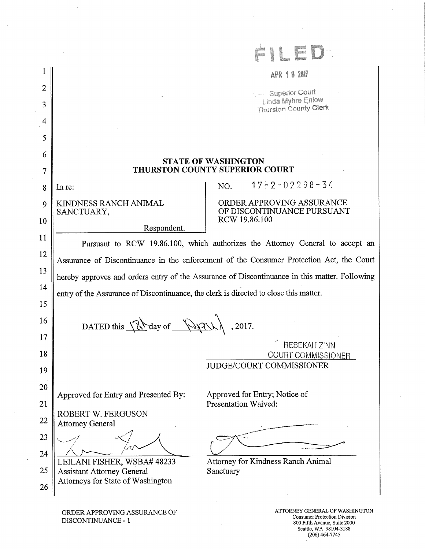|                |                                                                                          | APR 1 8 2017                                                                                  |  |  |
|----------------|------------------------------------------------------------------------------------------|-----------------------------------------------------------------------------------------------|--|--|
| $\overline{2}$ |                                                                                          | <b>Superior Court</b>                                                                         |  |  |
| 3              |                                                                                          | Linda Myhre Enlow<br>Thurston County Clerk                                                    |  |  |
| 4              |                                                                                          |                                                                                               |  |  |
| 5              |                                                                                          |                                                                                               |  |  |
| 6              |                                                                                          |                                                                                               |  |  |
| 7              |                                                                                          | <b>STATE OF WASHINGTON</b><br>THURSTON COUNTY SUPERIOR COURT                                  |  |  |
| 8              | In re:                                                                                   | $17 - 2 - 02298 - 34$<br>NO.                                                                  |  |  |
| 9              | KINDNESS RANCH ANIMAL                                                                    | ORDER APPROVING ASSURANCE<br>OF DISCONTINUANCE PURSUANT                                       |  |  |
| 10             | SANCTUARY,                                                                               | RCW 19.86.100                                                                                 |  |  |
| 11             | Respondent.                                                                              |                                                                                               |  |  |
| 12             |                                                                                          | Pursuant to RCW 19.86.100, which authorizes the Attorney General to accept an                 |  |  |
| 13             | Assurance of Discontinuance in the enforcement of the Consumer Protection Act, the Court |                                                                                               |  |  |
| 14             |                                                                                          | hereby approves and orders entry of the Assurance of Discontinuance in this matter. Following |  |  |
| 15             | entry of the Assurance of Discontinuance, the clerk is directed to close this matter.    |                                                                                               |  |  |
| 16             |                                                                                          |                                                                                               |  |  |
| 17             | DATED this You day of WAV                                                                |                                                                                               |  |  |
| 18             |                                                                                          | REBEKAH ZINN                                                                                  |  |  |
| 19             |                                                                                          | COURT COMMISSIONER<br><b>JUDGE/COURT COMMISSIONER</b>                                         |  |  |
| 20             |                                                                                          |                                                                                               |  |  |
|                | Approved for Entry and Presented By:                                                     | Approved for Entry; Notice of                                                                 |  |  |
| 21             | ROBERT W. FERGUSON                                                                       | Presentation Waived:                                                                          |  |  |
| 22             | <b>Attorney General</b>                                                                  |                                                                                               |  |  |
| 23             |                                                                                          |                                                                                               |  |  |
| 24             | LEILANI FISHER, WSBA# 48233                                                              | Attorney for Kindness Ranch Animal                                                            |  |  |
| 25             | <b>Assistant Attorney General</b><br>Attorneys for State of Washington                   | Sanctuary                                                                                     |  |  |
| 26             |                                                                                          |                                                                                               |  |  |
|                | ORDER APPROVING ASSURANCE OF                                                             | ATTORNEY GENERAL OF WASHINGTON                                                                |  |  |

Consumer Protection Division 800 Fifth Avenue, Suite 2000 Seattle, WA 98104-3188 (206) 464-7745

 $\hat{\boldsymbol{\theta}}$ 

J,

DISCONTINUANCE - 1

 $\sim$ 

 $\sim$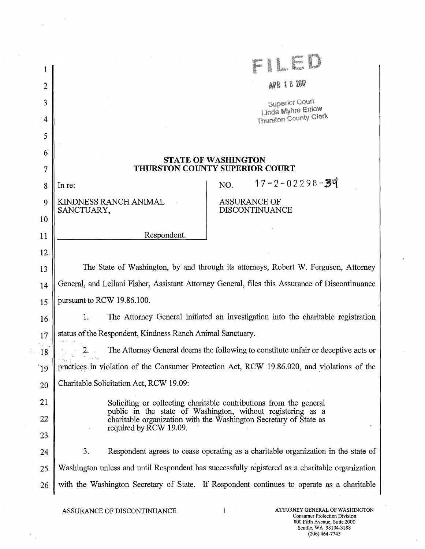| 1              |                                                                                                 |                                                                                                                                  |  |
|----------------|-------------------------------------------------------------------------------------------------|----------------------------------------------------------------------------------------------------------------------------------|--|
| $\overline{2}$ |                                                                                                 | APR 18 2017                                                                                                                      |  |
| 3              |                                                                                                 | <b>Superior Court</b>                                                                                                            |  |
| 4              |                                                                                                 | <b>Linda Myhre Enlow</b><br>Thurston County Clerk                                                                                |  |
| 5              |                                                                                                 |                                                                                                                                  |  |
| 6              |                                                                                                 |                                                                                                                                  |  |
| 7              | <b>STATE OF WASHINGTON</b><br><b>THURSTON COUNTY SUPERIOR COURT</b>                             |                                                                                                                                  |  |
| 8              | In re:                                                                                          | $17 - 2 - 02298 - 39$<br>NO.                                                                                                     |  |
| 9              | KINDNESS RANCH ANIMAL<br>SANCTUARY,                                                             | <b>ASSURANCE OF</b><br><b>DISCONTINUANCE</b>                                                                                     |  |
| 10             |                                                                                                 |                                                                                                                                  |  |
| 11             | Respondent.                                                                                     |                                                                                                                                  |  |
| 12             |                                                                                                 |                                                                                                                                  |  |
| 13             |                                                                                                 | The State of Washington, by and through its attorneys, Robert W. Ferguson, Attorney                                              |  |
| 14             | General, and Leilani Fisher, Assistant Attorney General, files this Assurance of Discontinuance |                                                                                                                                  |  |
| 15             | pursuant to RCW 19.86.100.                                                                      |                                                                                                                                  |  |
| 16             | 1.                                                                                              | The Attorney General initiated an investigation into the charitable registration                                                 |  |
| 17             | status of the Respondent, Kindness Ranch Animal Sanctuary.                                      |                                                                                                                                  |  |
| $\cdot$ 18     | 2. .                                                                                            | The Attorney General deems the following to constitute unfair or deceptive acts or                                               |  |
| $^{\prime}19$  |                                                                                                 | practices in violation of the Consumer Protection Act, RCW 19.86.020, and violations of the                                      |  |
| 20             | Charitable Solicitation Act, RCW 19.09:                                                         |                                                                                                                                  |  |
| 21             |                                                                                                 | Soliciting or collecting charitable contributions from the general                                                               |  |
| 22             |                                                                                                 | public in the state of Washington, without registering as a<br>charitable organization with the Washington Secretary of State as |  |
| 23             | required by RCW 19.09.                                                                          |                                                                                                                                  |  |
| 24             | 3.                                                                                              | Respondent agrees to cease operating as a charitable organization in the state of                                                |  |
| 25             |                                                                                                 | Washington unless and until Respondent has successfully registered as a charitable organization                                  |  |
| 26             |                                                                                                 | with the Washington Secretary of State. If Respondent continues to operate as a charitable                                       |  |
|                |                                                                                                 |                                                                                                                                  |  |

 $\bar{z}$ 

 $\rightarrow$ 

 $\epsilon^{\pm}$ 

 $\bar{z}$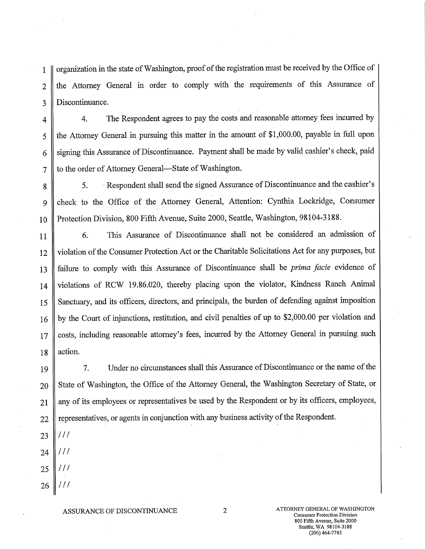1 organization in the state of Washington, proof of the registration must be received by the Office of 2 the Attorney General in order to comply with the requirements of this Assurance of 3 Discontinuance.

4 4. The Respondent agrees to pay the costs and reasonable attorney fees incurred by 5 || the Attorney General in pursuing this matter in the amount of \$1,000.00, payable in full upon 6 Signing this Assurance of Discontinuance. Payment shall be made by valid cashier's check, paid 7 || to the order of Attorney General—State of Washington.

8 || 5. Respondent shall send the signed Assurance of Discontinuance and the cashier's 9 check to the Office of the Attorney General, Attention: Cynthia Lockridge, Consumer 10 | Protection Division, 800 Fifth Avenue, Suite 2000, Seattle, Washington, 98104-3188.

11 6. This Assurance of Discontinuance shall not be considered an admission of 12 violation of the Consumer Protection Act or the Charitable Solicitations Act for any purposes, but 13 failure to comply with this Assurance of Discontinuance shall be *prima facie* evidence of 14 violations of RCW 19.86.020, thereby placing upon the violator, Kindness Ranch Animal 15 Sanctuary, and its officers, directors, and principals, the burden of defending against imposition 16 by the Court of injunctions, restitution, and civil penalties of up to \$2,000.00 per violation and 17 costs, including reasonable attorney's fees, incurred by the Attorney General in pursuing such 18  $\parallel$  action.

19 7. Under no circumstances shall this Assurance of Discontinuance or the name of the 20 State of Washington, the Office of the Attorney General, the Washington Secretary of State, or 21 || any of its employees or representatives be used by the Respondent or by its officers, employees, 22 | representatives, or agents in conjunction with any business activity of the Respondent.

- 23  $111$  $111$ 24
- 25  $111$
- $111$ 26

ASSURANCE OF DISCONTINUANCE 2 ATTORNEY GENERAL OF WASHINGTON Consumer Protection Division 800 Fifth Avenue, Suite 2000 Seattle, WA 98104-3188 (206)464-7745